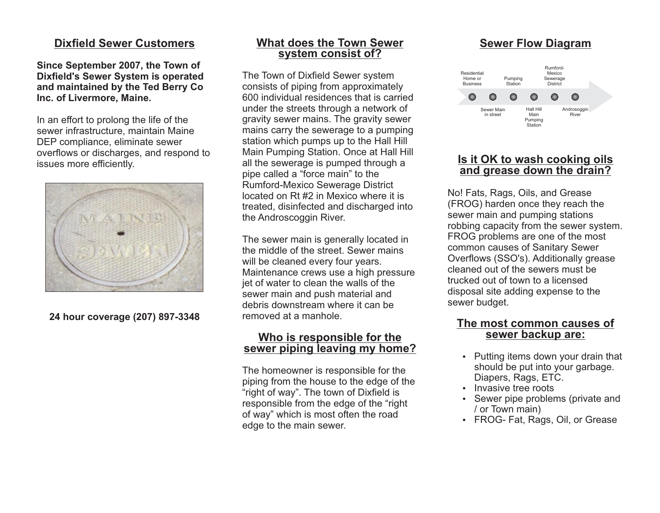# **Dixfield Sewer Customers**

**Since September 2007, the Town of Dixfield's Sewer System is operated and maintained by the Ted Berry Co Inc. of Livermore, Maine.**

In an effort to prolong the life of the sewer infrastructure, maintain Maine DEP compliance, eliminate sewer overflows or discharges, and respond to issues more efficiently.



**24 hour coverage (207) 897-3348**

# **What does the Town Sewer system consist of?**

The Town of Dixfield Sewer system consists of piping from approximately 600 individual residences that is carried under the streets through a network of gravity sewer mains. The gravity sewer mains carry the sewerage to a pumping station which pumps up to the Hall Hill Main Pumping Station. Once at Hall Hill all the sewerage is pumped through a pipe called a "force main" to the Rumford-Mexico Sewerage District located on Rt #2 in Mexico where it is treated, disinfected and discharged into the Androscoggin River.

The sewer main is generally located in the middle of the street. Sewer mains will be cleaned every four years. Maintenance crews use a high pressure jet of water to clean the walls of the sewer main and push material and debris downstream where it can be removed at a manhole.

# **Who is responsible for the sewer piping leaving my home?**

The homeowner is responsible for the piping from the house to the edge of the "right of way". The town of Dixfield is responsible from the edge of the "right of way" which is most often the road edge to the main sewer.

# **Sewer Flow Diagram**



## **Is it OK to wash cooking oils and grease down the drain?**

No! Fats, Rags, Oils, and Grease (FROG) harden once they reach the sewer main and pumping stations robbing capacity from the sewer system. FROG problems are one of the most common causes of Sanitary Sewer Overflows (SSO's). Additionally grease cleaned out of the sewers must be trucked out of town to a licensed disposal site adding expense to the sewer budget.

# **The most common causes of sewer backup are:**

- Putting items down your drain that should be put into your garbage. Diapers, Rags, ETC.
- Invasive tree roots
- Sewer pipe problems (private and / or Town main)
- FROG- Fat, Rags, Oil, or Grease